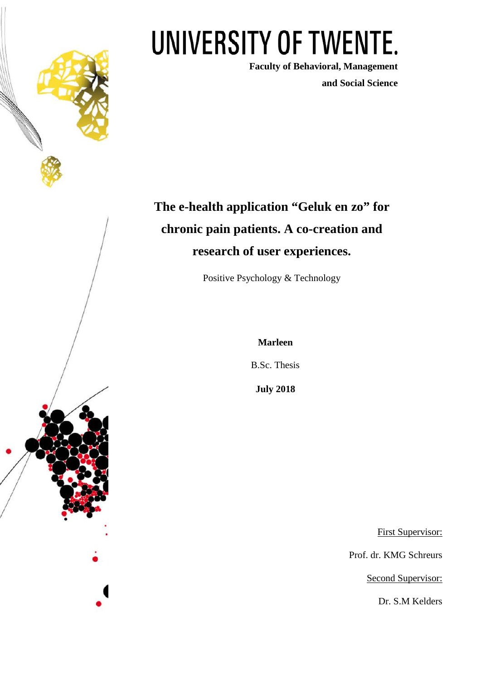

# UNIVERSITY OF TWENTE.

**Faculty of Behavioral, Management and Social Science**

## **The e-health application "Geluk en zo" for chronic pain patients. A co-creation and research of user experiences.**

Positive Psychology & Technology

**Marleen**

B.Sc. Thesis

**July 2018**

First Supervisor:

Prof. dr. KMG Schreurs

Second Supervisor:

Dr. S.M Kelders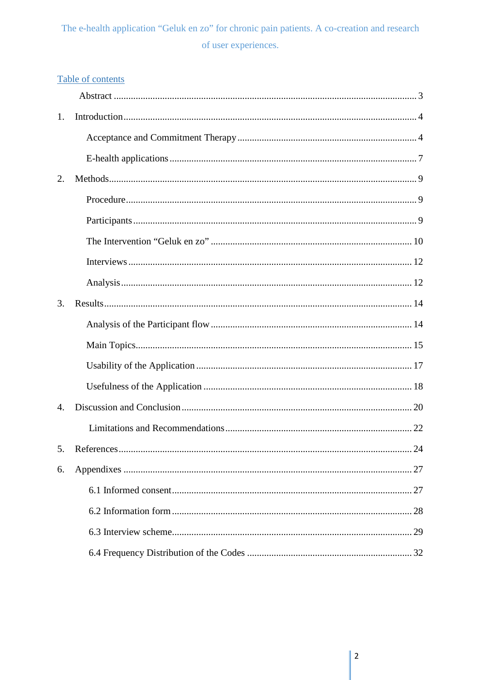## Table of contents

| 1. |    |
|----|----|
|    |    |
|    |    |
| 2. |    |
|    |    |
|    |    |
|    |    |
|    |    |
|    |    |
| 3. |    |
|    |    |
|    |    |
|    |    |
|    |    |
| 4. |    |
|    |    |
|    | 24 |
| 6. |    |
|    |    |
|    |    |
|    |    |
|    |    |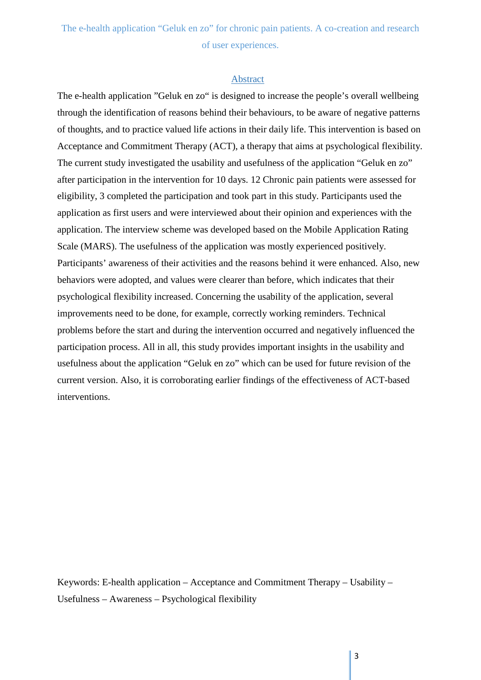#### Abstract

<span id="page-2-0"></span>The e-health application "Geluk en zo" is designed to increase the people's overall wellbeing through the identification of reasons behind their behaviours, to be aware of negative patterns of thoughts, and to practice valued life actions in their daily life. This intervention is based on Acceptance and Commitment Therapy (ACT), a therapy that aims at psychological flexibility. The current study investigated the usability and usefulness of the application "Geluk en zo" after participation in the intervention for 10 days. 12 Chronic pain patients were assessed for eligibility, 3 completed the participation and took part in this study. Participants used the application as first users and were interviewed about their opinion and experiences with the application. The interview scheme was developed based on the Mobile Application Rating Scale (MARS). The usefulness of the application was mostly experienced positively. Participants' awareness of their activities and the reasons behind it were enhanced. Also, new behaviors were adopted, and values were clearer than before, which indicates that their psychological flexibility increased. Concerning the usability of the application, several improvements need to be done, for example, correctly working reminders. Technical problems before the start and during the intervention occurred and negatively influenced the participation process. All in all, this study provides important insights in the usability and usefulness about the application "Geluk en zo" which can be used for future revision of the current version. Also, it is corroborating earlier findings of the effectiveness of ACT-based interventions.

Keywords: E-health application – Acceptance and Commitment Therapy – Usability – Usefulness – Awareness – Psychological flexibility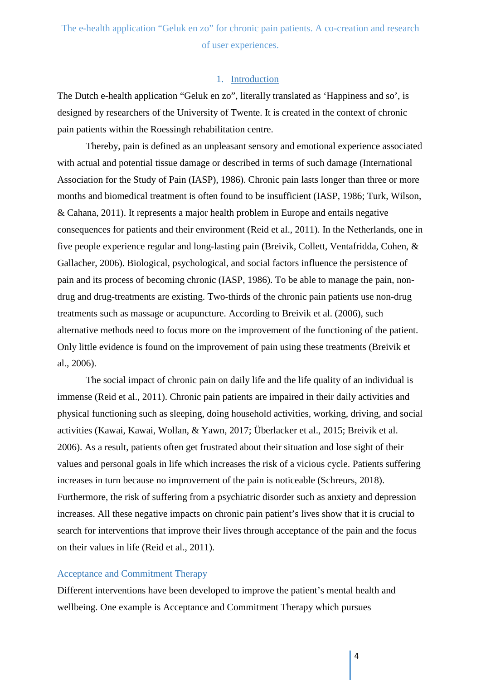#### 1. Introduction

<span id="page-3-0"></span>The Dutch e-health application "Geluk en zo", literally translated as 'Happiness and so', is designed by researchers of the University of Twente. It is created in the context of chronic pain patients within the Roessingh rehabilitation centre.

Thereby, pain is defined as an unpleasant sensory and emotional experience associated with actual and potential tissue damage or described in terms of such damage (International Association for the Study of Pain (IASP), 1986). Chronic pain lasts longer than three or more months and biomedical treatment is often found to be insufficient (IASP, 1986; Turk, Wilson, & Cahana, 2011). It represents a major health problem in Europe and entails negative consequences for patients and their environment (Reid et al., 2011). In the Netherlands, one in five people experience regular and long-lasting pain (Breivik, Collett, Ventafridda, Cohen, & Gallacher, 2006). Biological, psychological, and social factors influence the persistence of pain and its process of becoming chronic (IASP, 1986). To be able to manage the pain, nondrug and drug-treatments are existing. Two-thirds of the chronic pain patients use non-drug treatments such as massage or acupuncture. According to Breivik et al. (2006), such alternative methods need to focus more on the improvement of the functioning of the patient. Only little evidence is found on the improvement of pain using these treatments (Breivik et al., 2006).

The social impact of chronic pain on daily life and the life quality of an individual is immense (Reid et al., 2011). Chronic pain patients are impaired in their daily activities and physical functioning such as sleeping, doing household activities, working, driving, and social activities (Kawai, Kawai, Wollan, & Yawn, 2017; Überlacker et al., 2015; Breivik et al. 2006). As a result, patients often get frustrated about their situation and lose sight of their values and personal goals in life which increases the risk of a vicious cycle. Patients suffering increases in turn because no improvement of the pain is noticeable (Schreurs, 2018). Furthermore, the risk of suffering from a psychiatric disorder such as anxiety and depression increases. All these negative impacts on chronic pain patient's lives show that it is crucial to search for interventions that improve their lives through acceptance of the pain and the focus on their values in life (Reid et al., 2011).

#### <span id="page-3-1"></span>Acceptance and Commitment Therapy

Different interventions have been developed to improve the patient's mental health and wellbeing. One example is Acceptance and Commitment Therapy which pursues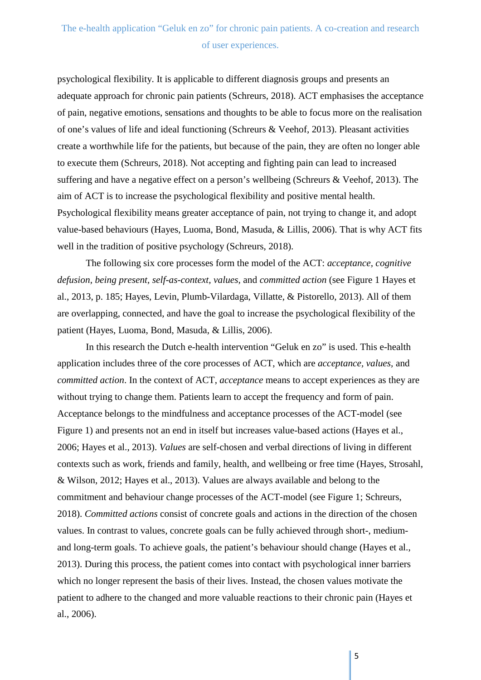psychological flexibility. It is applicable to different diagnosis groups and presents an adequate approach for chronic pain patients (Schreurs, 2018). ACT emphasises the acceptance of pain, negative emotions, sensations and thoughts to be able to focus more on the realisation of one's values of life and ideal functioning (Schreurs & Veehof, 2013). Pleasant activities create a worthwhile life for the patients, but because of the pain, they are often no longer able to execute them (Schreurs, 2018). Not accepting and fighting pain can lead to increased suffering and have a negative effect on a person's wellbeing (Schreurs & Veehof, 2013). The aim of ACT is to increase the psychological flexibility and positive mental health. Psychological flexibility means greater acceptance of pain, not trying to change it, and adopt value-based behaviours (Hayes, Luoma, Bond, Masuda, & Lillis, 2006). That is why ACT fits well in the tradition of positive psychology (Schreurs, 2018).

The following six core processes form the model of the ACT: *acceptance, cognitive defusion, being present, self-as-context, values,* and *committed action* (see Figure 1 Hayes et al., 2013, p. 185; Hayes, Levin, Plumb-Vilardaga, Villatte, & Pistorello, 2013). All of them are overlapping, connected, and have the goal to increase the psychological flexibility of the patient (Hayes, Luoma, Bond, Masuda, & Lillis, 2006).

In this research the Dutch e-health intervention "Geluk en zo" is used. This e-health application includes three of the core processes of ACT, which are *acceptance, values,* and *committed action*. In the context of ACT, *acceptance* means to accept experiences as they are without trying to change them. Patients learn to accept the frequency and form of pain. Acceptance belongs to the mindfulness and acceptance processes of the ACT-model (see Figure 1) and presents not an end in itself but increases value-based actions (Hayes et al., 2006; Hayes et al., 2013). *Values* are self-chosen and verbal directions of living in different contexts such as work, friends and family, health, and wellbeing or free time (Hayes, Strosahl, & Wilson, 2012; Hayes et al., 2013). Values are always available and belong to the commitment and behaviour change processes of the ACT-model (see Figure 1; Schreurs, 2018). *Committed actions* consist of concrete goals and actions in the direction of the chosen values. In contrast to values, concrete goals can be fully achieved through short-, mediumand long-term goals. To achieve goals, the patient's behaviour should change (Hayes et al., 2013). During this process, the patient comes into contact with psychological inner barriers which no longer represent the basis of their lives. Instead, the chosen values motivate the patient to adhere to the changed and more valuable reactions to their chronic pain (Hayes et al., 2006).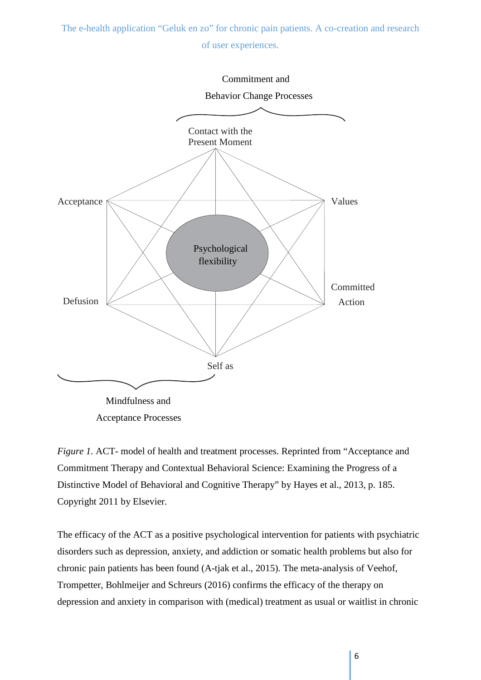The e-health application "Geluk en zo" for chronic pain patients. A co-creation and research

of user experiences.



*Figure 1.* ACT- model of health and treatment processes. Reprinted from "Acceptance and Commitment Therapy and Contextual Behavioral Science: Examining the Progress of a Distinctive Model of Behavioral and Cognitive Therapy" by Hayes et al., 2013, p. 185. Copyright 2011 by Elsevier.

The efficacy of the ACT as a positive psychological intervention for patients with psychiatric disorders such as depression, anxiety, and addiction or somatic health problems but also for chronic pain patients has been found (A-tjak et al., 2015). The meta-analysis of Veehof, Trompetter, Bohlmeijer and Schreurs (2016) confirms the efficacy of the therapy on depression and anxiety in comparison with (medical) treatment as usual or waitlist in chronic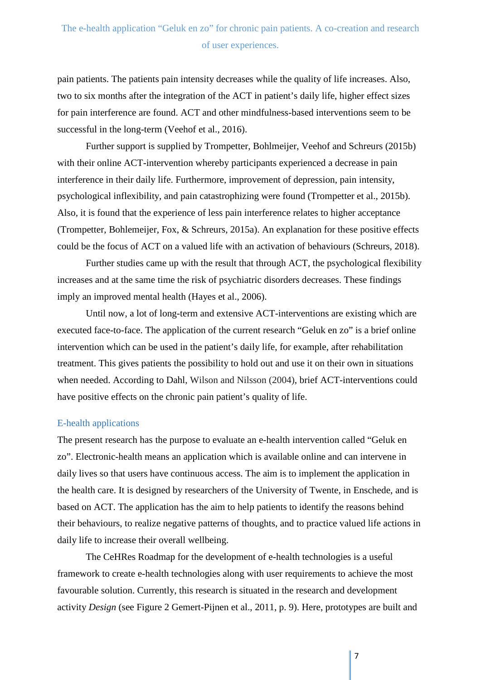pain patients. The patients pain intensity decreases while the quality of life increases. Also, two to six months after the integration of the ACT in patient's daily life, higher effect sizes for pain interference are found. ACT and other mindfulness-based interventions seem to be successful in the long-term (Veehof et al., 2016).

Further support is supplied by Trompetter, Bohlmeijer, Veehof and Schreurs (2015b) with their online ACT-intervention whereby participants experienced a decrease in pain interference in their daily life. Furthermore, improvement of depression, pain intensity, psychological inflexibility, and pain catastrophizing were found (Trompetter et al., 2015b). Also, it is found that the experience of less pain interference relates to higher acceptance (Trompetter, Bohlemeijer, Fox, & Schreurs, 2015a). An explanation for these positive effects could be the focus of ACT on a valued life with an activation of behaviours (Schreurs, 2018).

Further studies came up with the result that through ACT, the psychological flexibility increases and at the same time the risk of psychiatric disorders decreases. These findings imply an improved mental health (Hayes et al., 2006).

Until now, a lot of long-term and extensive ACT-interventions are existing which are executed face-to-face. The application of the current research "Geluk en zo" is a brief online intervention which can be used in the patient's daily life, for example, after rehabilitation treatment. This gives patients the possibility to hold out and use it on their own in situations when needed. According to Dahl, Wilson and Nilsson (2004), brief ACT-interventions could have positive effects on the chronic pain patient's quality of life.

#### <span id="page-6-0"></span>E-health applications

The present research has the purpose to evaluate an e-health intervention called "Geluk en zo". Electronic-health means an application which is available online and can intervene in daily lives so that users have continuous access. The aim is to implement the application in the health care. It is designed by researchers of the University of Twente, in Enschede, and is based on ACT. The application has the aim to help patients to identify the reasons behind their behaviours, to realize negative patterns of thoughts, and to practice valued life actions in daily life to increase their overall wellbeing.

The CeHRes Roadmap for the development of e-health technologies is a useful framework to create e-health technologies along with user requirements to achieve the most favourable solution. Currently, this research is situated in the research and development activity *Design* (see Figure 2 Gemert-Pijnen et al., 2011, p. 9). Here, prototypes are built and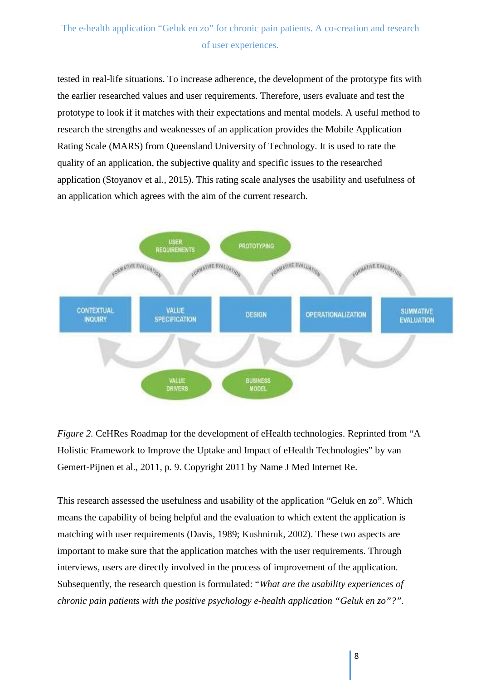tested in real-life situations. To increase adherence, the development of the prototype fits with the earlier researched values and user requirements. Therefore, users evaluate and test the prototype to look if it matches with their expectations and mental models. A useful method to research the strengths and weaknesses of an application provides the Mobile Application Rating Scale (MARS) from Queensland University of Technology. It is used to rate the quality of an application, the subjective quality and specific issues to the researched application (Stoyanov et al., 2015). This rating scale analyses the usability and usefulness of an application which agrees with the aim of the current research.



*Figure 2.* CeHRes Roadmap for the development of eHealth technologies. Reprinted from "A Holistic Framework to Improve the Uptake and Impact of eHealth Technologies" by van Gemert-Pijnen et al., 2011, p. 9. Copyright 2011 by Name J Med Internet Re.

This research assessed the usefulness and usability of the application "Geluk en zo". Which means the capability of being helpful and the evaluation to which extent the application is matching with user requirements (Davis, 1989; Kushniruk, 2002). These two aspects are important to make sure that the application matches with the user requirements. Through interviews, users are directly involved in the process of improvement of the application. Subsequently, the research question is formulated: "*What are the usability experiences of chronic pain patients with the positive psychology e-health application "Geluk en zo"?".*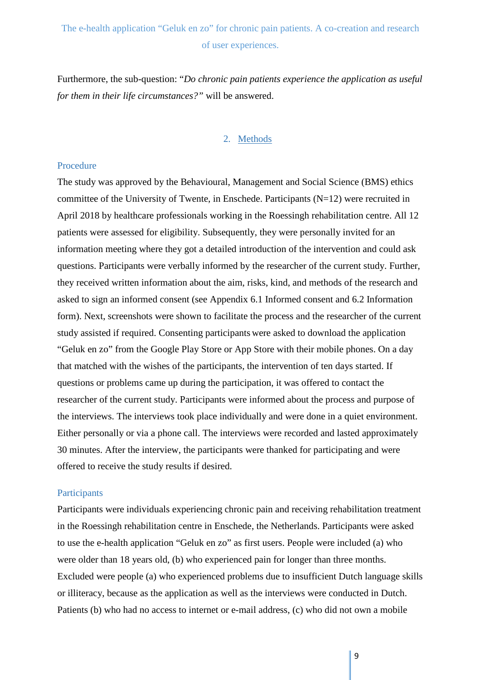Furthermore, the sub-question: "*Do chronic pain patients experience the application as useful for them in their life circumstances?"* will be answered.

#### 2. Methods

#### <span id="page-8-1"></span><span id="page-8-0"></span>Procedure

The study was approved by the Behavioural, Management and Social Science (BMS) ethics committee of the University of Twente, in Enschede. Participants (N=12) were recruited in April 2018 by healthcare professionals working in the Roessingh rehabilitation centre. All 12 patients were assessed for eligibility. Subsequently, they were personally invited for an information meeting where they got a detailed introduction of the intervention and could ask questions. Participants were verbally informed by the researcher of the current study. Further, they received written information about the aim, risks, kind, and methods of the research and asked to sign an informed consent (see Appendix 6.1 Informed consent and 6.2 Information form). Next, screenshots were shown to facilitate the process and the researcher of the current study assisted if required. Consenting participants were asked to download the application "Geluk en zo" from the Google Play Store or App Store with their mobile phones. On a day that matched with the wishes of the participants, the intervention of ten days started. If questions or problems came up during the participation, it was offered to contact the researcher of the current study. Participants were informed about the process and purpose of the interviews. The interviews took place individually and were done in a quiet environment. Either personally or via a phone call. The interviews were recorded and lasted approximately 30 minutes. After the interview, the participants were thanked for participating and were offered to receive the study results if desired.

#### <span id="page-8-2"></span>**Participants**

Participants were individuals experiencing chronic pain and receiving rehabilitation treatment in the Roessingh rehabilitation centre in Enschede, the Netherlands. Participants were asked to use the e-health application "Geluk en zo" as first users. People were included (a) who were older than 18 years old, (b) who experienced pain for longer than three months. Excluded were people (a) who experienced problems due to insufficient Dutch language skills or illiteracy, because as the application as well as the interviews were conducted in Dutch. Patients (b) who had no access to internet or e-mail address, (c) who did not own a mobile

9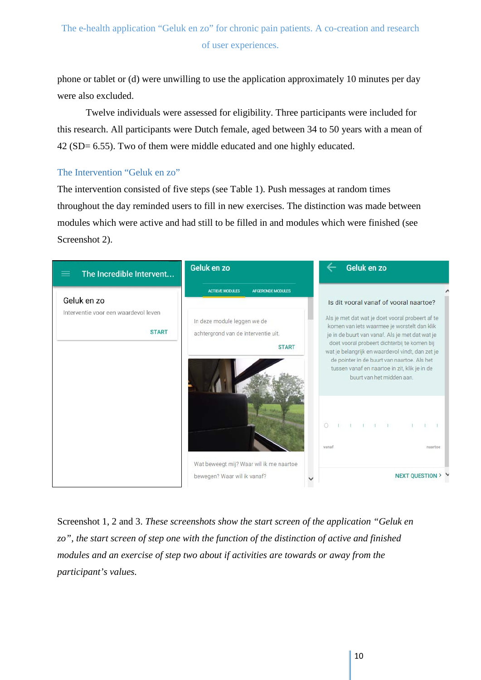phone or tablet or (d) were unwilling to use the application approximately 10 minutes per day were also excluded.

Twelve individuals were assessed for eligibility. Three participants were included for this research. All participants were Dutch female, aged between 34 to 50 years with a mean of 42 (SD= 6.55). Two of them were middle educated and one highly educated.

#### <span id="page-9-0"></span>The Intervention "Geluk en zo"

The intervention consisted of five steps (see Table 1). Push messages at random times throughout the day reminded users to fill in new exercises. The distinction was made between modules which were active and had still to be filled in and modules which were finished (see Screenshot 2).



Screenshot 1, 2 and 3. *These screenshots show the start screen of the application "Geluk en zo", the start screen of step one with the function of the distinction of active and finished modules and an exercise of step two about if activities are towards or away from the participant's values.*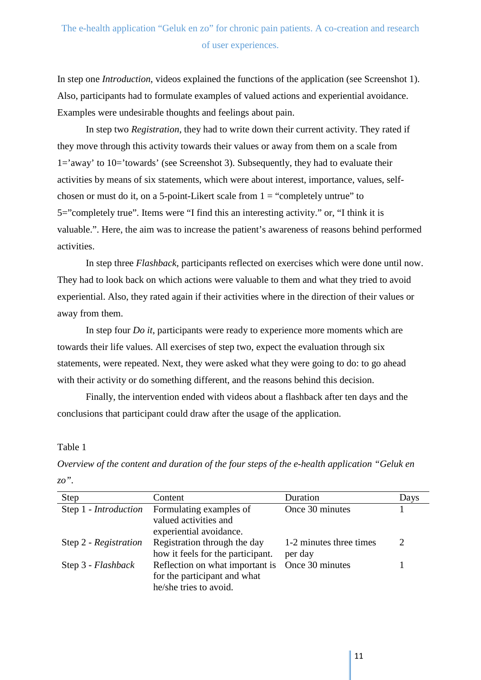In step one *Introduction*, videos explained the functions of the application (see Screenshot 1). Also, participants had to formulate examples of valued actions and experiential avoidance. Examples were undesirable thoughts and feelings about pain.

In step two *Registration*, they had to write down their current activity. They rated if they move through this activity towards their values or away from them on a scale from 1='away' to 10='towards' (see Screenshot 3). Subsequently, they had to evaluate their activities by means of six statements, which were about interest, importance, values, selfchosen or must do it, on a 5-point-Likert scale from  $1 =$  "completely untrue" to 5="completely true". Items were "I find this an interesting activity." or, "I think it is valuable.". Here, the aim was to increase the patient's awareness of reasons behind performed activities.

In step three *Flashback*, participants reflected on exercises which were done until now. They had to look back on which actions were valuable to them and what they tried to avoid experiential. Also, they rated again if their activities where in the direction of their values or away from them.

In step four *Do it*, participants were ready to experience more moments which are towards their life values. All exercises of step two, expect the evaluation through six statements, were repeated. Next, they were asked what they were going to do: to go ahead with their activity or do something different, and the reasons behind this decision.

Finally, the intervention ended with videos about a flashback after ten days and the conclusions that participant could draw after the usage of the application.

#### Table 1

*Overview of the content and duration of the four steps of the e-health application "Geluk en zo".*

| <b>Step</b>                  | Content                                                                                   | Duration                           | Days |
|------------------------------|-------------------------------------------------------------------------------------------|------------------------------------|------|
| Step 1 - <i>Introduction</i> | Formulating examples of<br>valued activities and<br>experiential avoidance.               | Once 30 minutes                    |      |
| Step 2 - Registration        | Registration through the day<br>how it feels for the participant.                         | 1-2 minutes three times<br>per day |      |
| Step 3 - Flashback           | Reflection on what important is<br>for the participant and what<br>he/she tries to avoid. | Once 30 minutes                    |      |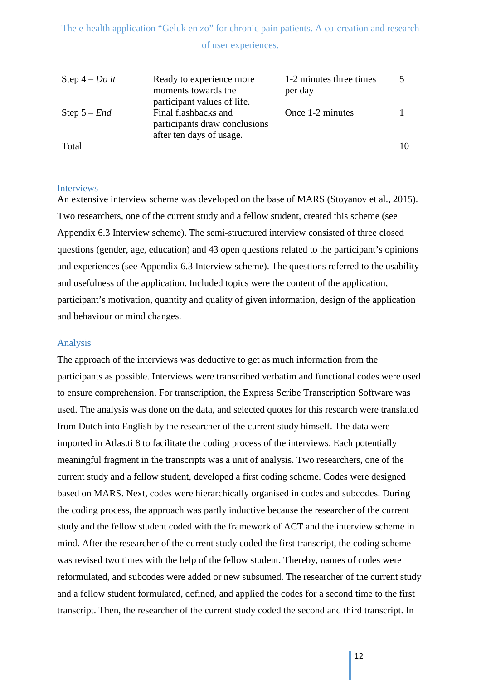| Step $4 - Do$ it | Ready to experience more<br>moments towards the<br>participant values of life.    | 1-2 minutes three times<br>per day |    |
|------------------|-----------------------------------------------------------------------------------|------------------------------------|----|
| Step $5 - End$   | Final flashbacks and<br>participants draw conclusions<br>after ten days of usage. | Once 1-2 minutes                   |    |
| Total            |                                                                                   |                                    | 10 |

#### <span id="page-11-0"></span>Interviews

An extensive interview scheme was developed on the base of MARS (Stoyanov et al., 2015). Two researchers, one of the current study and a fellow student, created this scheme (see Appendix 6.3 Interview scheme). The semi-structured interview consisted of three closed questions (gender, age, education) and 43 open questions related to the participant's opinions and experiences (see Appendix 6.3 Interview scheme). The questions referred to the usability and usefulness of the application. Included topics were the content of the application, participant's motivation, quantity and quality of given information, design of the application and behaviour or mind changes.

#### <span id="page-11-1"></span>Analysis

The approach of the interviews was deductive to get as much information from the participants as possible. Interviews were transcribed verbatim and functional codes were used to ensure comprehension. For transcription, the Express Scribe Transcription Software was used. The analysis was done on the data, and selected quotes for this research were translated from Dutch into English by the researcher of the current study himself. The data were imported in Atlas.ti 8 to facilitate the coding process of the interviews. Each potentially meaningful fragment in the transcripts was a unit of analysis. Two researchers, one of the current study and a fellow student, developed a first coding scheme. Codes were designed based on MARS. Next, codes were hierarchically organised in codes and subcodes. During the coding process, the approach was partly inductive because the researcher of the current study and the fellow student coded with the framework of ACT and the interview scheme in mind. After the researcher of the current study coded the first transcript, the coding scheme was revised two times with the help of the fellow student. Thereby, names of codes were reformulated, and subcodes were added or new subsumed. The researcher of the current study and a fellow student formulated, defined, and applied the codes for a second time to the first transcript. Then, the researcher of the current study coded the second and third transcript. In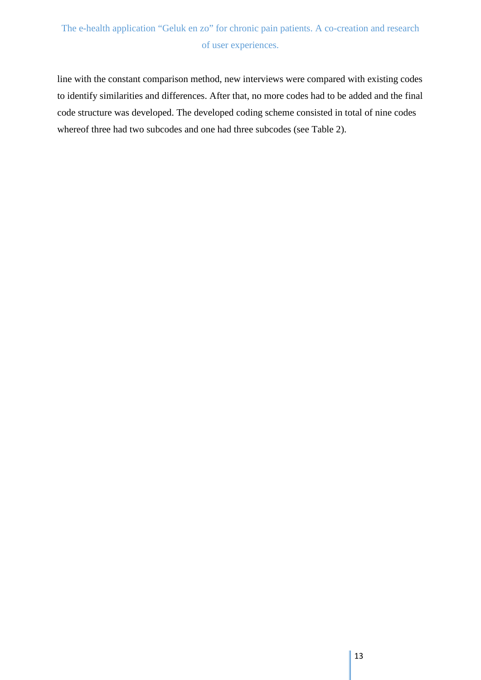line with the constant comparison method, new interviews were compared with existing codes to identify similarities and differences. After that, no more codes had to be added and the final code structure was developed. The developed coding scheme consisted in total of nine codes whereof three had two subcodes and one had three subcodes (see Table 2).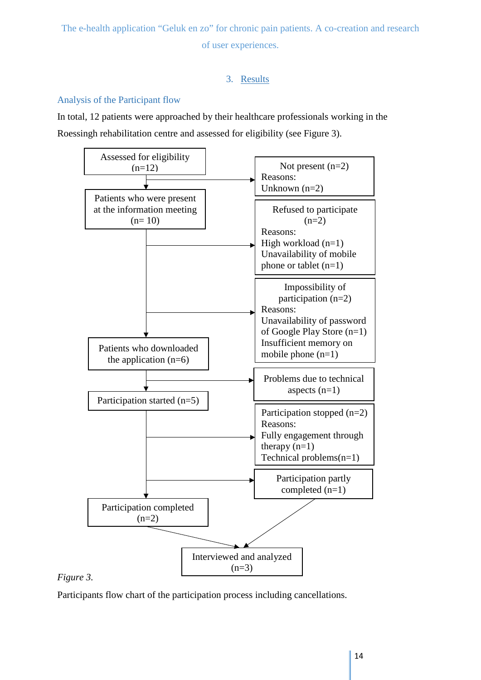#### 3. Results

#### <span id="page-13-1"></span><span id="page-13-0"></span>Analysis of the Participant flow

In total, 12 patients were approached by their healthcare professionals working in the Roessingh rehabilitation centre and assessed for eligibility (see Figure 3).



#### Participants flow chart of the participation process including cancellations.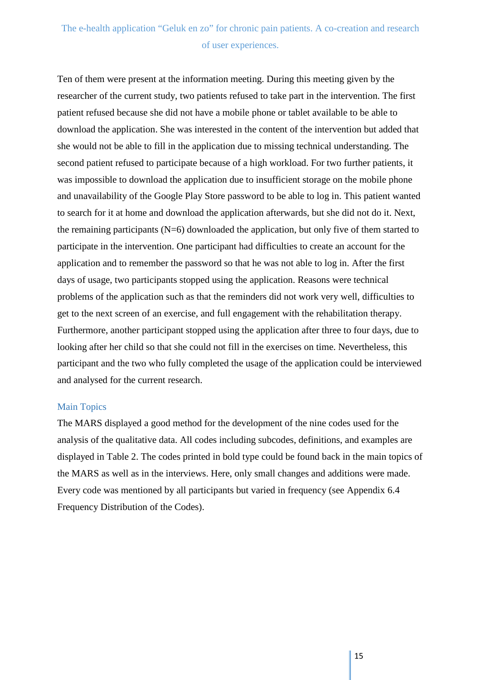Ten of them were present at the information meeting. During this meeting given by the researcher of the current study, two patients refused to take part in the intervention. The first patient refused because she did not have a mobile phone or tablet available to be able to download the application. She was interested in the content of the intervention but added that she would not be able to fill in the application due to missing technical understanding. The second patient refused to participate because of a high workload. For two further patients, it was impossible to download the application due to insufficient storage on the mobile phone and unavailability of the Google Play Store password to be able to log in. This patient wanted to search for it at home and download the application afterwards, but she did not do it. Next, the remaining participants  $(N=6)$  downloaded the application, but only five of them started to participate in the intervention. One participant had difficulties to create an account for the application and to remember the password so that he was not able to log in. After the first days of usage, two participants stopped using the application. Reasons were technical problems of the application such as that the reminders did not work very well, difficulties to get to the next screen of an exercise, and full engagement with the rehabilitation therapy. Furthermore, another participant stopped using the application after three to four days, due to looking after her child so that she could not fill in the exercises on time. Nevertheless, this participant and the two who fully completed the usage of the application could be interviewed and analysed for the current research.

#### <span id="page-14-0"></span>Main Topics

The MARS displayed a good method for the development of the nine codes used for the analysis of the qualitative data. All codes including subcodes, definitions, and examples are displayed in Table 2. The codes printed in bold type could be found back in the main topics of the MARS as well as in the interviews. Here, only small changes and additions were made. Every code was mentioned by all participants but varied in frequency (see Appendix 6.4 Frequency Distribution of the Codes).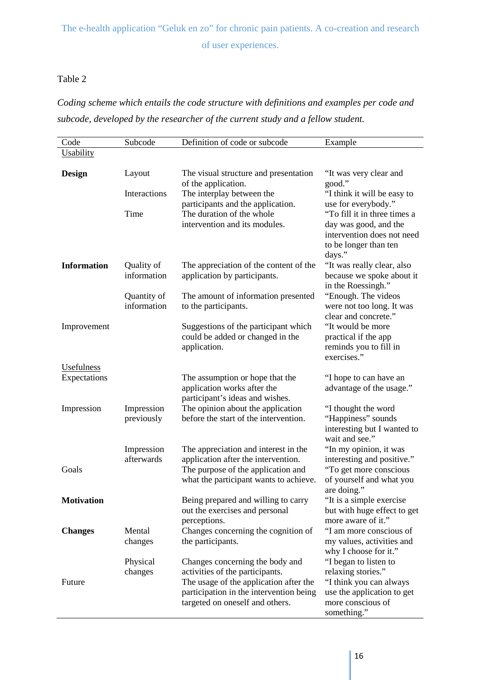#### Table 2

*Coding scheme which entails the code structure with definitions and examples per code and subcode, developed by the researcher of the current study and a fellow student.*

| Code               | Subcode                    | Definition of code or subcode                                                                                                                                                              | Example                                                                                                                                  |
|--------------------|----------------------------|--------------------------------------------------------------------------------------------------------------------------------------------------------------------------------------------|------------------------------------------------------------------------------------------------------------------------------------------|
| Usability          |                            |                                                                                                                                                                                            |                                                                                                                                          |
| <b>Design</b>      | Layout                     | The visual structure and presentation<br>of the application.                                                                                                                               | "It was very clear and<br>good."                                                                                                         |
|                    | Interactions               | The interplay between the<br>participants and the application.                                                                                                                             | "I think it will be easy to<br>use for everybody."                                                                                       |
|                    | Time                       | The duration of the whole<br>intervention and its modules.                                                                                                                                 | "To fill it in three times a<br>day was good, and the<br>intervention does not need<br>to be longer than ten<br>days."                   |
| <b>Information</b> | Quality of<br>information  | The appreciation of the content of the<br>application by participants.                                                                                                                     | "It was really clear, also<br>because we spoke about it<br>in the Roessingh."                                                            |
|                    | Quantity of<br>information | The amount of information presented<br>to the participants.                                                                                                                                | "Enough. The videos<br>were not too long. It was<br>clear and concrete."                                                                 |
| Improvement        |                            | Suggestions of the participant which<br>could be added or changed in the<br>application.                                                                                                   | "It would be more<br>practical if the app<br>reminds you to fill in<br>exercises."                                                       |
| Usefulness         |                            |                                                                                                                                                                                            |                                                                                                                                          |
| Expectations       |                            | The assumption or hope that the<br>application works after the<br>participant's ideas and wishes.                                                                                          | "I hope to can have an<br>advantage of the usage."                                                                                       |
| Impression         | Impression<br>previously   | The opinion about the application<br>before the start of the intervention.                                                                                                                 | "I thought the word<br>"Happiness" sounds<br>interesting but I wanted to<br>wait and see."                                               |
|                    | Impression                 | The appreciation and interest in the                                                                                                                                                       | "In my opinion, it was                                                                                                                   |
| Goals              | afterwards                 | application after the intervention.<br>The purpose of the application and<br>what the participant wants to achieve.                                                                        | interesting and positive."<br>"To get more conscious<br>of yourself and what you<br>are doing."                                          |
| <b>Motivation</b>  |                            | Being prepared and willing to carry<br>out the exercises and personal<br>perceptions.                                                                                                      | "It is a simple exercise"<br>but with huge effect to get<br>more aware of it."                                                           |
| <b>Changes</b>     | Mental<br>changes          | Changes concerning the cognition of<br>the participants.                                                                                                                                   | "I am more conscious of<br>my values, activities and<br>why I choose for it."                                                            |
| Future             | Physical<br>changes        | Changes concerning the body and<br>activities of the participants.<br>The usage of the application after the<br>participation in the intervention being<br>targeted on oneself and others. | "I began to listen to<br>relaxing stories."<br>"I think you can always<br>use the application to get<br>more conscious of<br>something." |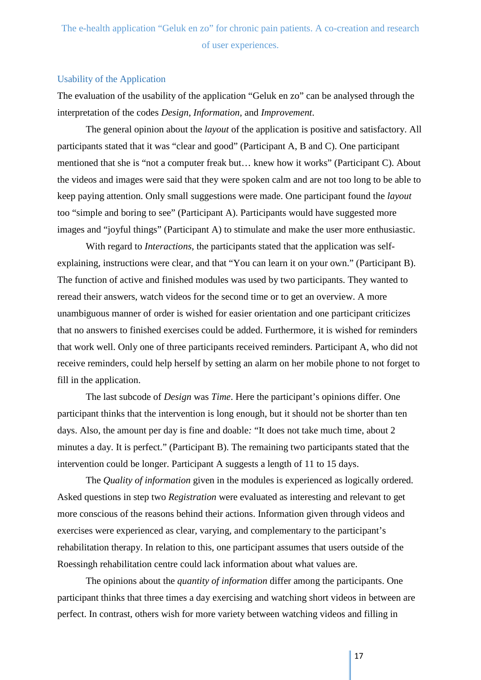#### <span id="page-16-0"></span>Usability of the Application

The evaluation of the usability of the application "Geluk en zo" can be analysed through the interpretation of the codes *Design*, *Information,* and *Improvement*.

The general opinion about the *layout* of the application is positive and satisfactory. All participants stated that it was "clear and good" (Participant A, B and C). One participant mentioned that she is "not a computer freak but… knew how it works" (Participant C). About the videos and images were said that they were spoken calm and are not too long to be able to keep paying attention. Only small suggestions were made. One participant found the *layout* too "simple and boring to see" (Participant A). Participants would have suggested more images and "joyful things" (Participant A) to stimulate and make the user more enthusiastic.

With regard to *Interactions*, the participants stated that the application was selfexplaining, instructions were clear, and that "You can learn it on your own." (Participant B). The function of active and finished modules was used by two participants. They wanted to reread their answers, watch videos for the second time or to get an overview. A more unambiguous manner of order is wished for easier orientation and one participant criticizes that no answers to finished exercises could be added. Furthermore, it is wished for reminders that work well. Only one of three participants received reminders. Participant A, who did not receive reminders, could help herself by setting an alarm on her mobile phone to not forget to fill in the application.

The last subcode of *Design* was *Time*. Here the participant's opinions differ. One participant thinks that the intervention is long enough, but it should not be shorter than ten days. Also, the amount per day is fine and doable*:* "It does not take much time, about 2 minutes a day. It is perfect." (Participant B). The remaining two participants stated that the intervention could be longer. Participant A suggests a length of 11 to 15 days.

The *Quality of information* given in the modules is experienced as logically ordered. Asked questions in step two *Registration* were evaluated as interesting and relevant to get more conscious of the reasons behind their actions. Information given through videos and exercises were experienced as clear, varying, and complementary to the participant's rehabilitation therapy. In relation to this, one participant assumes that users outside of the Roessingh rehabilitation centre could lack information about what values are.

The opinions about the *quantity of information* differ among the participants. One participant thinks that three times a day exercising and watching short videos in between are perfect. In contrast, others wish for more variety between watching videos and filling in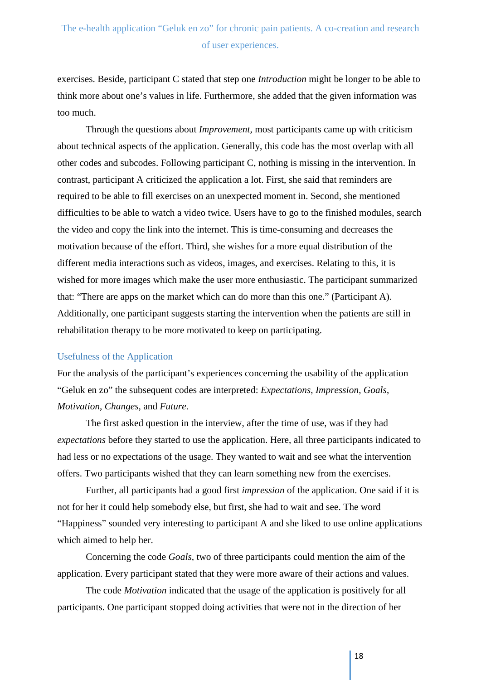exercises. Beside, participant C stated that step one *Introduction* might be longer to be able to think more about one's values in life. Furthermore, she added that the given information was too much.

Through the questions about *Improvement*, most participants came up with criticism about technical aspects of the application. Generally, this code has the most overlap with all other codes and subcodes. Following participant C, nothing is missing in the intervention. In contrast, participant A criticized the application a lot. First, she said that reminders are required to be able to fill exercises on an unexpected moment in. Second, she mentioned difficulties to be able to watch a video twice. Users have to go to the finished modules, search the video and copy the link into the internet. This is time-consuming and decreases the motivation because of the effort. Third, she wishes for a more equal distribution of the different media interactions such as videos, images, and exercises. Relating to this, it is wished for more images which make the user more enthusiastic. The participant summarized that: "There are apps on the market which can do more than this one." (Participant A). Additionally, one participant suggests starting the intervention when the patients are still in rehabilitation therapy to be more motivated to keep on participating.

#### <span id="page-17-0"></span>Usefulness of the Application

For the analysis of the participant's experiences concerning the usability of the application "Geluk en zo" the subsequent codes are interpreted: *Expectations*, *Impression*, *Goals*, *Motivation*, *Changes,* and *Future*.

The first asked question in the interview, after the time of use, was if they had *expectations* before they started to use the application. Here, all three participants indicated to had less or no expectations of the usage. They wanted to wait and see what the intervention offers. Two participants wished that they can learn something new from the exercises.

Further, all participants had a good first *impression* of the application. One said if it is not for her it could help somebody else, but first, she had to wait and see. The word "Happiness" sounded very interesting to participant A and she liked to use online applications which aimed to help her.

Concerning the code *Goals*, two of three participants could mention the aim of the application. Every participant stated that they were more aware of their actions and values.

The code *Motivation* indicated that the usage of the application is positively for all participants. One participant stopped doing activities that were not in the direction of her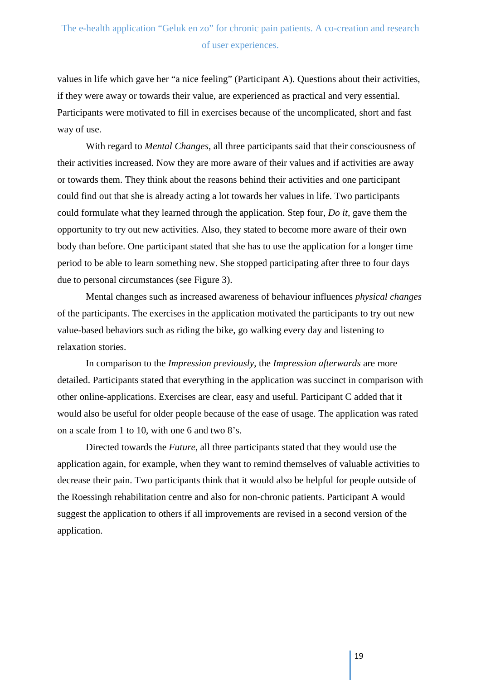values in life which gave her "a nice feeling" (Participant A). Questions about their activities, if they were away or towards their value, are experienced as practical and very essential. Participants were motivated to fill in exercises because of the uncomplicated, short and fast way of use.

With regard to *Mental Changes*, all three participants said that their consciousness of their activities increased. Now they are more aware of their values and if activities are away or towards them. They think about the reasons behind their activities and one participant could find out that she is already acting a lot towards her values in life. Two participants could formulate what they learned through the application. Step four, *Do it,* gave them the opportunity to try out new activities. Also, they stated to become more aware of their own body than before. One participant stated that she has to use the application for a longer time period to be able to learn something new. She stopped participating after three to four days due to personal circumstances (see Figure 3).

Mental changes such as increased awareness of behaviour influences *physical changes* of the participants. The exercises in the application motivated the participants to try out new value-based behaviors such as riding the bike, go walking every day and listening to relaxation stories.

In comparison to the *Impression previously*, the *Impression afterwards* are more detailed. Participants stated that everything in the application was succinct in comparison with other online-applications. Exercises are clear, easy and useful. Participant C added that it would also be useful for older people because of the ease of usage. The application was rated on a scale from 1 to 10, with one 6 and two 8's.

Directed towards the *Future*, all three participants stated that they would use the application again, for example, when they want to remind themselves of valuable activities to decrease their pain. Two participants think that it would also be helpful for people outside of the Roessingh rehabilitation centre and also for non-chronic patients. Participant A would suggest the application to others if all improvements are revised in a second version of the application.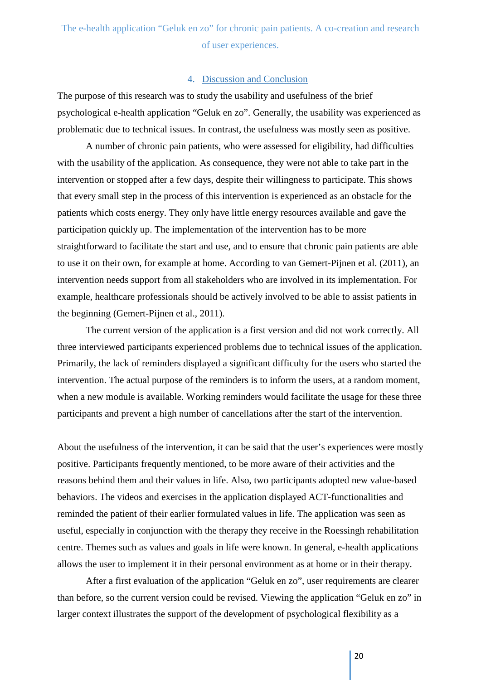#### 4. Discussion and Conclusion

<span id="page-19-0"></span>The purpose of this research was to study the usability and usefulness of the brief psychological e-health application "Geluk en zo". Generally, the usability was experienced as problematic due to technical issues. In contrast, the usefulness was mostly seen as positive.

A number of chronic pain patients, who were assessed for eligibility, had difficulties with the usability of the application. As consequence, they were not able to take part in the intervention or stopped after a few days, despite their willingness to participate. This shows that every small step in the process of this intervention is experienced as an obstacle for the patients which costs energy. They only have little energy resources available and gave the participation quickly up. The implementation of the intervention has to be more straightforward to facilitate the start and use, and to ensure that chronic pain patients are able to use it on their own, for example at home. According to van Gemert-Pijnen et al. (2011), an intervention needs support from all stakeholders who are involved in its implementation. For example, healthcare professionals should be actively involved to be able to assist patients in the beginning (Gemert-Pijnen et al., 2011).

The current version of the application is a first version and did not work correctly. All three interviewed participants experienced problems due to technical issues of the application. Primarily, the lack of reminders displayed a significant difficulty for the users who started the intervention. The actual purpose of the reminders is to inform the users, at a random moment, when a new module is available. Working reminders would facilitate the usage for these three participants and prevent a high number of cancellations after the start of the intervention.

About the usefulness of the intervention, it can be said that the user's experiences were mostly positive. Participants frequently mentioned, to be more aware of their activities and the reasons behind them and their values in life. Also, two participants adopted new value-based behaviors. The videos and exercises in the application displayed ACT-functionalities and reminded the patient of their earlier formulated values in life. The application was seen as useful, especially in conjunction with the therapy they receive in the Roessingh rehabilitation centre. Themes such as values and goals in life were known. In general, e-health applications allows the user to implement it in their personal environment as at home or in their therapy.

After a first evaluation of the application "Geluk en zo", user requirements are clearer than before, so the current version could be revised. Viewing the application "Geluk en zo" in larger context illustrates the support of the development of psychological flexibility as a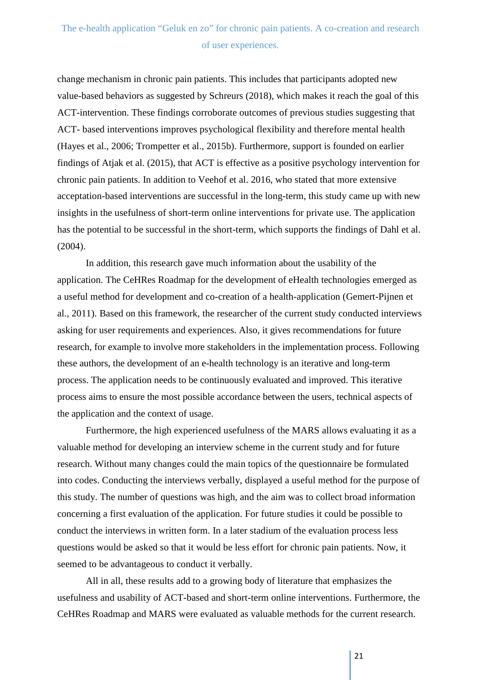change mechanism in chronic pain patients. This includes that participants adopted new value-based behaviors as suggested by Schreurs (2018), which makes it reach the goal of this ACT-intervention. These findings corroborate outcomes of previous studies suggesting that ACT- based interventions improves psychological flexibility and therefore mental health (Hayes et al., 2006; Trompetter et al., 2015b). Furthermore, support is founded on earlier findings of Atjak et al. (2015), that ACT is effective as a positive psychology intervention for chronic pain patients. In addition to Veehof et al. 2016, who stated that more extensive acceptation-based interventions are successful in the long-term, this study came up with new insights in the usefulness of short-term online interventions for private use. The application has the potential to be successful in the short-term, which supports the findings of Dahl et al. (2004).

In addition, this research gave much information about the usability of the application. The CeHRes Roadmap for the development of eHealth technologies emerged as a useful method for development and co-creation of a health-application (Gemert-Pijnen et al., 2011). Based on this framework, the researcher of the current study conducted interviews asking for user requirements and experiences. Also, it gives recommendations for future research, for example to involve more stakeholders in the implementation process. Following these authors, the development of an e-health technology is an iterative and long-term process. The application needs to be continuously evaluated and improved. This iterative process aims to ensure the most possible accordance between the users, technical aspects of the application and the context of usage.

Furthermore, the high experienced usefulness of the MARS allows evaluating it as a valuable method for developing an interview scheme in the current study and for future research. Without many changes could the main topics of the questionnaire be formulated into codes. Conducting the interviews verbally, displayed a useful method for the purpose of this study. The number of questions was high, and the aim was to collect broad information concerning a first evaluation of the application. For future studies it could be possible to conduct the interviews in written form. In a later stadium of the evaluation process less questions would be asked so that it would be less effort for chronic pain patients. Now, it seemed to be advantageous to conduct it verbally.

All in all, these results add to a growing body of literature that emphasizes the usefulness and usability of ACT-based and short-term online interventions. Furthermore, the CeHRes Roadmap and MARS were evaluated as valuable methods for the current research.

21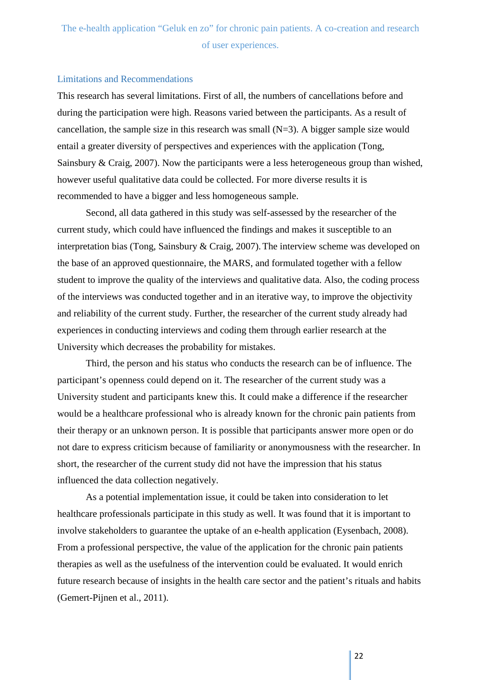#### <span id="page-21-0"></span>Limitations and Recommendations

This research has several limitations. First of all, the numbers of cancellations before and during the participation were high. Reasons varied between the participants. As a result of cancellation, the sample size in this research was small  $(N=3)$ . A bigger sample size would entail a greater diversity of perspectives and experiences with the application (Tong, Sainsbury & Craig, 2007). Now the participants were a less heterogeneous group than wished, however useful qualitative data could be collected. For more diverse results it is recommended to have a bigger and less homogeneous sample.

Second, all data gathered in this study was self-assessed by the researcher of the current study, which could have influenced the findings and makes it susceptible to an interpretation bias (Tong, Sainsbury & Craig, 2007).The interview scheme was developed on the base of an approved questionnaire, the MARS, and formulated together with a fellow student to improve the quality of the interviews and qualitative data. Also, the coding process of the interviews was conducted together and in an iterative way, to improve the objectivity and reliability of the current study. Further, the researcher of the current study already had experiences in conducting interviews and coding them through earlier research at the University which decreases the probability for mistakes.

Third, the person and his status who conducts the research can be of influence. The participant's openness could depend on it. The researcher of the current study was a University student and participants knew this. It could make a difference if the researcher would be a healthcare professional who is already known for the chronic pain patients from their therapy or an unknown person. It is possible that participants answer more open or do not dare to express criticism because of familiarity or anonymousness with the researcher. In short, the researcher of the current study did not have the impression that his status influenced the data collection negatively.

As a potential implementation issue, it could be taken into consideration to let healthcare professionals participate in this study as well. It was found that it is important to involve stakeholders to guarantee the uptake of an e-health application (Eysenbach, 2008). From a professional perspective, the value of the application for the chronic pain patients therapies as well as the usefulness of the intervention could be evaluated. It would enrich future research because of insights in the health care sector and the patient's rituals and habits (Gemert-Pijnen et al., 2011).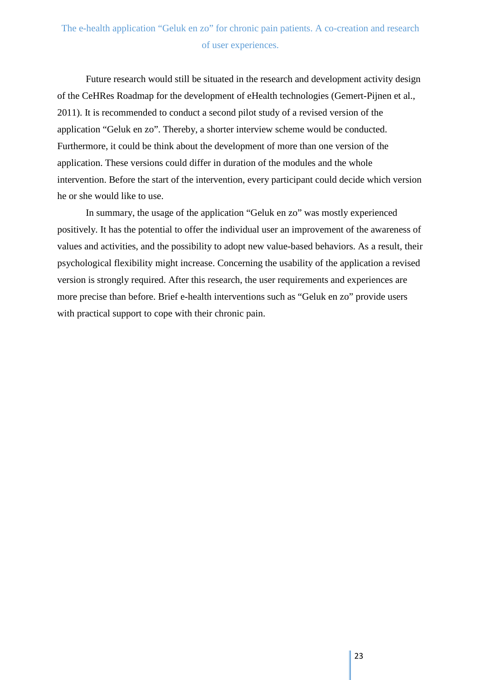Future research would still be situated in the research and development activity design of the CeHRes Roadmap for the development of eHealth technologies (Gemert-Pijnen et al., 2011). It is recommended to conduct a second pilot study of a revised version of the application "Geluk en zo". Thereby, a shorter interview scheme would be conducted. Furthermore, it could be think about the development of more than one version of the application. These versions could differ in duration of the modules and the whole intervention. Before the start of the intervention, every participant could decide which version he or she would like to use.

In summary, the usage of the application "Geluk en zo" was mostly experienced positively. It has the potential to offer the individual user an improvement of the awareness of values and activities, and the possibility to adopt new value-based behaviors. As a result, their psychological flexibility might increase. Concerning the usability of the application a revised version is strongly required. After this research, the user requirements and experiences are more precise than before. Brief e-health interventions such as "Geluk en zo" provide users with practical support to cope with their chronic pain.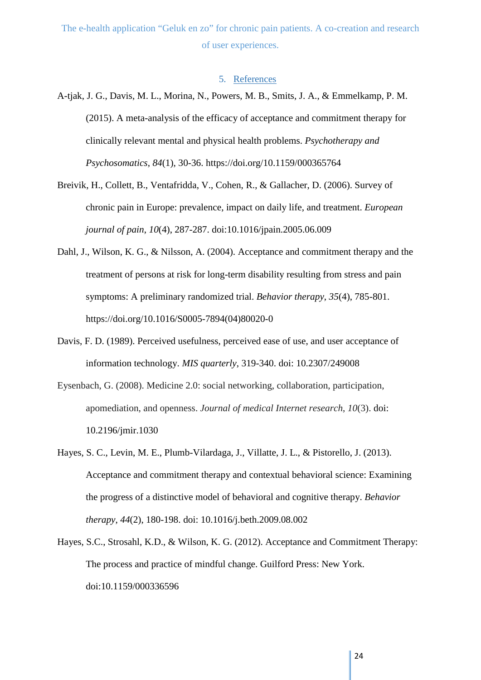#### 5. References

- <span id="page-23-0"></span>A-tjak, J. G., Davis, M. L., Morina, N., Powers, M. B., Smits, J. A., & Emmelkamp, P. M. (2015). A meta-analysis of the efficacy of acceptance and commitment therapy for clinically relevant mental and physical health problems. *Psychotherapy and Psychosomatics*, *84*(1), 30-36. https://doi.org/10.1159/000365764
- Breivik, H., Collett, B., Ventafridda, V., Cohen, R., & Gallacher, D. (2006). Survey of chronic pain in Europe: prevalence, impact on daily life, and treatment. *European journal of pain*, *10*(4), 287-287. doi:10.1016/jpain.2005.06.009
- Dahl, J., Wilson, K. G., & Nilsson, A. (2004). Acceptance and commitment therapy and the treatment of persons at risk for long-term disability resulting from stress and pain symptoms: A preliminary randomized trial. *Behavior therapy*, *35*(4), 785-801. https://doi.org/10.1016/S0005-7894(04)80020-0
- Davis, F. D. (1989). Perceived usefulness, perceived ease of use, and user acceptance of information technology. *MIS quarterly*, 319-340. doi: 10.2307/249008
- Eysenbach, G. (2008). Medicine 2.0: social networking, collaboration, participation, apomediation, and openness. *Journal of medical Internet research*, *10*(3). doi: 10.2196/jmir.1030
- Hayes, S. C., Levin, M. E., Plumb-Vilardaga, J., Villatte, J. L., & Pistorello, J. (2013). Acceptance and commitment therapy and contextual behavioral science: Examining the progress of a distinctive model of behavioral and cognitive therapy. *Behavior therapy*, *44*(2), 180-198. doi: 10.1016/j.beth.2009.08.002
- Hayes, S.C., Strosahl, K.D., & Wilson, K. G. (2012). Acceptance and Commitment Therapy: The process and practice of mindful change. Guilford Press: New York. doi:10.1159/000336596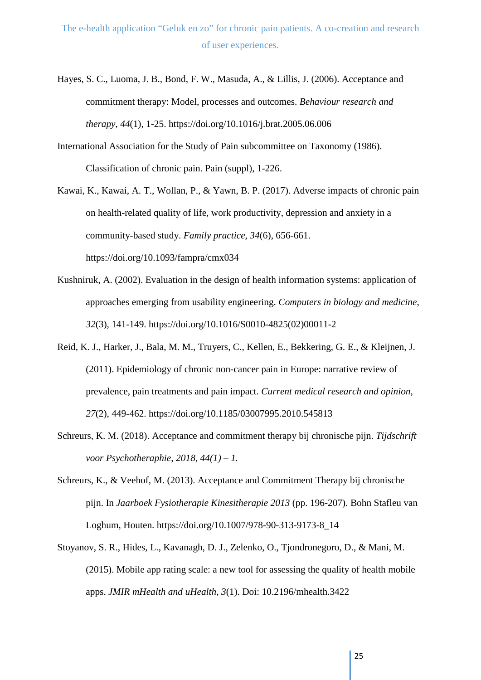- Hayes, S. C., Luoma, J. B., Bond, F. W., Masuda, A., & Lillis, J. (2006). Acceptance and commitment therapy: Model, processes and outcomes. *Behaviour research and therapy*, *44*(1), 1-25. https://doi.org/10.1016/j.brat.2005.06.006
- International Association for the Study of Pain subcommittee on Taxonomy (1986). Classification of chronic pain. Pain (suppl), 1-226.
- Kawai, K., Kawai, A. T., Wollan, P., & Yawn, B. P. (2017). Adverse impacts of chronic pain on health-related quality of life, work productivity, depression and anxiety in a community-based study. *Family practice*, *34*(6), 656-661. https://doi.org/10.1093/fampra/cmx034
- Kushniruk, A. (2002). Evaluation in the design of health information systems: application of approaches emerging from usability engineering. *Computers in biology and medicine*, *32*(3), 141-149. https://doi.org/10.1016/S0010-4825(02)00011-2
- Reid, K. J., Harker, J., Bala, M. M., Truyers, C., Kellen, E., Bekkering, G. E., & Kleijnen, J. (2011). Epidemiology of chronic non-cancer pain in Europe: narrative review of prevalence, pain treatments and pain impact. *Current medical research and opinion*, *27*(2), 449-462. https://doi.org/10.1185/03007995.2010.545813
- Schreurs, K. M. (2018). Acceptance and commitment therapy bij chronische pijn. *Tijdschrift voor Psychotheraphie, 2018, 44(1) – 1.*
- Schreurs, K., & Veehof, M. (2013). Acceptance and Commitment Therapy bij chronische pijn. In *Jaarboek Fysiotherapie Kinesitherapie 2013* (pp. 196-207). Bohn Stafleu van Loghum, Houten. https://doi.org/10.1007/978-90-313-9173-8\_14
- Stoyanov, S. R., Hides, L., Kavanagh, D. J., Zelenko, O., Tjondronegoro, D., & Mani, M. (2015). Mobile app rating scale: a new tool for assessing the quality of health mobile apps. *JMIR mHealth and uHealth*, *3*(1). Doi: [10.2196/mhealth.3422](http://doi.org/10.2196/mhealth.3422)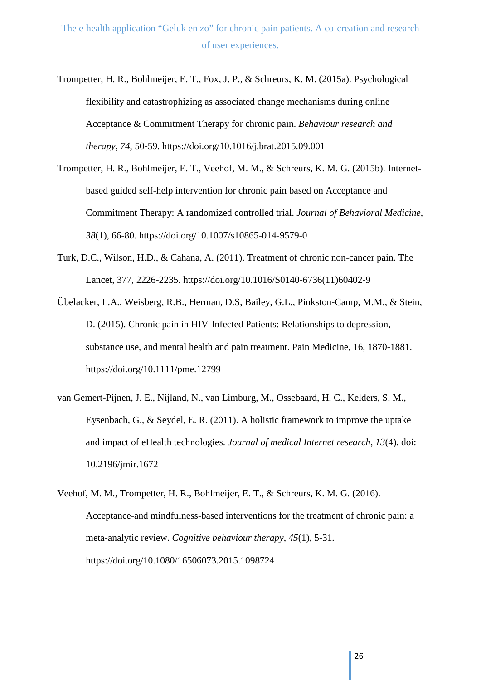- Trompetter, H. R., Bohlmeijer, E. T., Fox, J. P., & Schreurs, K. M. (2015a). Psychological flexibility and catastrophizing as associated change mechanisms during online Acceptance & Commitment Therapy for chronic pain. *Behaviour research and therapy*, *74*, 50-59. https://doi.org/10.1016/j.brat.2015.09.001
- Trompetter, H. R., Bohlmeijer, E. T., Veehof, M. M., & Schreurs, K. M. G. (2015b). Internetbased guided self-help intervention for chronic pain based on Acceptance and Commitment Therapy: A randomized controlled trial. *Journal of Behavioral Medicine*, *38*(1), 66-80. https://doi.org/10.1007/s10865-014-9579-0
- Turk, D.C., Wilson, H.D., & Cahana, A. (2011). Treatment of chronic non-cancer pain. The Lancet, 377, 2226-2235. https://doi.org/10.1016/S0140-6736(11)60402-9
- Übelacker, L.A., Weisberg, R.B., Herman, D.S, Bailey, G.L., Pinkston-Camp, M.M., & Stein, D. (2015). Chronic pain in HIV-Infected Patients: Relationships to depression, substance use, and mental health and pain treatment. Pain Medicine, 16, 1870-1881. https://doi.org/10.1111/pme.12799
- van Gemert-Pijnen, J. E., Nijland, N., van Limburg, M., Ossebaard, H. C., Kelders, S. M., Eysenbach, G., & Seydel, E. R. (2011). A holistic framework to improve the uptake and impact of eHealth technologies. *Journal of medical Internet research*, *13*(4). doi: 10.2196/jmir.1672
- Veehof, M. M., Trompetter, H. R., Bohlmeijer, E. T., & Schreurs, K. M. G. (2016). Acceptance-and mindfulness-based interventions for the treatment of chronic pain: a meta-analytic review. *Cognitive behaviour therapy*, *45*(1), 5-31. https://doi.org/10.1080/16506073.2015.1098724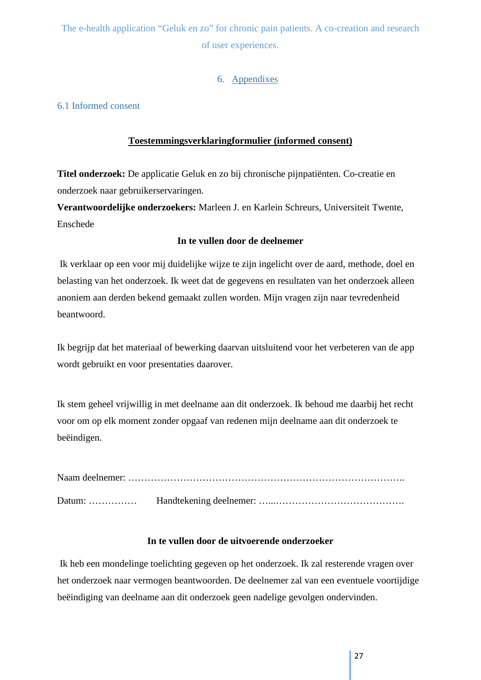#### 6. Appendixes

#### <span id="page-26-1"></span><span id="page-26-0"></span>6.1 Informed consent

#### **Toestemmingsverklaringformulier (informed consent)**

**Titel onderzoek:** De applicatie Geluk en zo bij chronische pijnpatiënten. Co-creatie en onderzoek naar gebruikerservaringen.

**Verantwoordelijke onderzoekers:** Marleen J. en Karlein Schreurs, Universiteit Twente, Enschede

#### **In te vullen door de deelnemer**

Ik verklaar op een voor mij duidelijke wijze te zijn ingelicht over de aard, methode, doel en belasting van het onderzoek. Ik weet dat de gegevens en resultaten van het onderzoek alleen anoniem aan derden bekend gemaakt zullen worden. Mijn vragen zijn naar tevredenheid beantwoord.

Ik begrijp dat het materiaal of bewerking daarvan uitsluitend voor het verbeteren van de app wordt gebruikt en voor presentaties daarover.

Ik stem geheel vrijwillig in met deelname aan dit onderzoek. Ik behoud me daarbij het recht voor om op elk moment zonder opgaaf van redenen mijn deelname aan dit onderzoek te beëindigen.

#### **In te vullen door de uitvoerende onderzoeker**

Ik heb een mondelinge toelichting gegeven op het onderzoek. Ik zal resterende vragen over het onderzoek naar vermogen beantwoorden. De deelnemer zal van een eventuele voortijdige beëindiging van deelname aan dit onderzoek geen nadelige gevolgen ondervinden.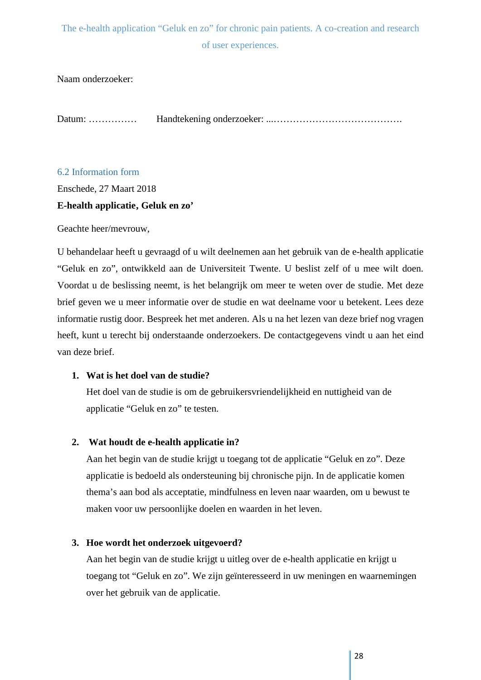Naam onderzoeker:

Datum: …………… Handtekening onderzoeker: ...………………………………….

#### <span id="page-27-0"></span>6.2 Information form

Enschede, 27 Maart 2018 **E-health applicatie, Geluk en zo'** 

Geachte heer/mevrouw,

U behandelaar heeft u gevraagd of u wilt deelnemen aan het gebruik van de e-health applicatie "Geluk en zo", ontwikkeld aan de Universiteit Twente. U beslist zelf of u mee wilt doen. Voordat u de beslissing neemt, is het belangrijk om meer te weten over de studie. Met deze brief geven we u meer informatie over de studie en wat deelname voor u betekent. Lees deze informatie rustig door. Bespreek het met anderen. Als u na het lezen van deze brief nog vragen heeft, kunt u terecht bij onderstaande onderzoekers. De contactgegevens vindt u aan het eind van deze brief.

#### **1. Wat is het doel van de studie?**

Het doel van de studie is om de gebruikersvriendelijkheid en nuttigheid van de applicatie "Geluk en zo" te testen.

#### **2. Wat houdt de e-health applicatie in?**

Aan het begin van de studie krijgt u toegang tot de applicatie "Geluk en zo". Deze applicatie is bedoeld als ondersteuning bij chronische pijn. In de applicatie komen thema's aan bod als acceptatie, mindfulness en leven naar waarden, om u bewust te maken voor uw persoonlijke doelen en waarden in het leven.

#### **3. Hoe wordt het onderzoek uitgevoerd?**

Aan het begin van de studie krijgt u uitleg over de e-health applicatie en krijgt u toegang tot "Geluk en zo". We zijn geïnteresseerd in uw meningen en waarnemingen over het gebruik van de applicatie.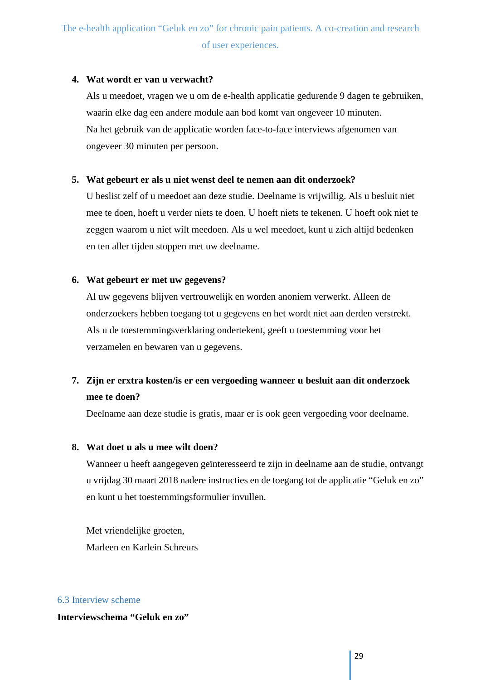#### **4. Wat wordt er van u verwacht?**

Als u meedoet, vragen we u om de e-health applicatie gedurende 9 dagen te gebruiken, waarin elke dag een andere module aan bod komt van ongeveer 10 minuten. Na het gebruik van de applicatie worden face-to-face interviews afgenomen van ongeveer 30 minuten per persoon.

#### **5. Wat gebeurt er als u niet wenst deel te nemen aan dit onderzoek?**

U beslist zelf of u meedoet aan deze studie. Deelname is vrijwillig. Als u besluit niet mee te doen, hoeft u verder niets te doen. U hoeft niets te tekenen. U hoeft ook niet te zeggen waarom u niet wilt meedoen. Als u wel meedoet, kunt u zich altijd bedenken en ten aller tijden stoppen met uw deelname.

#### **6. Wat gebeurt er met uw gegevens?**

Al uw gegevens blijven vertrouwelijk en worden anoniem verwerkt. Alleen de onderzoekers hebben toegang tot u gegevens en het wordt niet aan derden verstrekt. Als u de toestemmingsverklaring ondertekent, geeft u toestemming voor het verzamelen en bewaren van u gegevens.

## **7. Zijn er erxtra kosten/is er een vergoeding wanneer u besluit aan dit onderzoek mee te doen?**

Deelname aan deze studie is gratis, maar er is ook geen vergoeding voor deelname.

#### **8. Wat doet u als u mee wilt doen?**

Wanneer u heeft aangegeven geïnteresseerd te zijn in deelname aan de studie, ontvangt u vrijdag 30 maart 2018 nadere instructies en de toegang tot de applicatie "Geluk en zo" en kunt u het toestemmingsformulier invullen.

Met vriendelijke groeten, Marleen en Karlein Schreurs

#### <span id="page-28-0"></span>6.3 Interview scheme

**Interviewschema "Geluk en zo"**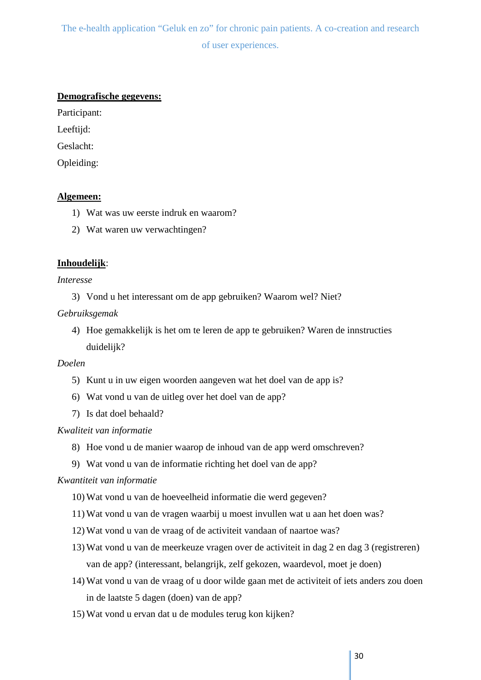#### **Demografische gegevens:**

Participant:

Leeftijd:

Geslacht:

Opleiding:

#### **Algemeen:**

- 1) Wat was uw eerste indruk en waarom?
- 2) Wat waren uw verwachtingen?

#### **Inhoudelijk**:

*Interesse* 

3) Vond u het interessant om de app gebruiken? Waarom wel? Niet?

#### *Gebruiksgemak*

4) Hoe gemakkelijk is het om te leren de app te gebruiken? Waren de innstructies duidelijk?

#### *Doelen*

- 5) Kunt u in uw eigen woorden aangeven wat het doel van de app is?
- 6) Wat vond u van de uitleg over het doel van de app?
- 7) Is dat doel behaald?

#### *Kwaliteit van informatie*

- 8) Hoe vond u de manier waarop de inhoud van de app werd omschreven?
- 9) Wat vond u van de informatie richting het doel van de app?

#### *Kwantiteit van informatie*

- 10) Wat vond u van de hoeveelheid informatie die werd gegeven?
- 11) Wat vond u van de vragen waarbij u moest invullen wat u aan het doen was?
- 12) Wat vond u van de vraag of de activiteit vandaan of naartoe was?
- 13) Wat vond u van de meerkeuze vragen over de activiteit in dag 2 en dag 3 (registreren) van de app? (interessant, belangrijk, zelf gekozen, waardevol, moet je doen)
- 14) Wat vond u van de vraag of u door wilde gaan met de activiteit of iets anders zou doen in de laatste 5 dagen (doen) van de app?
- 15) Wat vond u ervan dat u de modules terug kon kijken?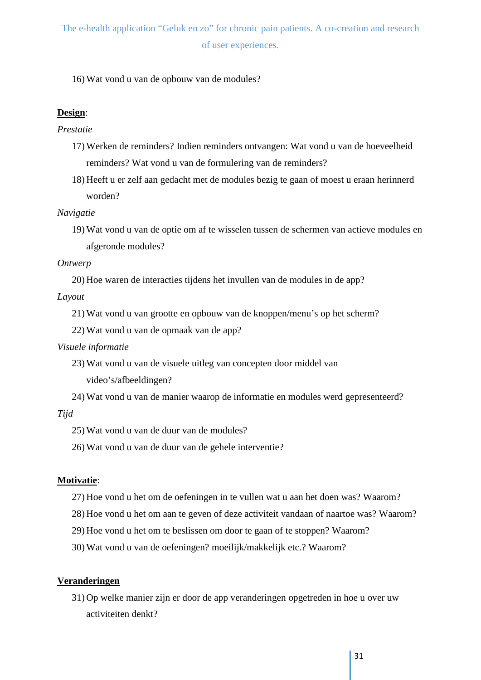16) Wat vond u van de opbouw van de modules?

#### **Design**:

#### *Prestatie*

- 17) Werken de reminders? Indien reminders ontvangen: Wat vond u van de hoeveelheid reminders? Wat vond u van de formulering van de reminders?
- 18) Heeft u er zelf aan gedacht met de modules bezig te gaan of moest u eraan herinnerd worden?

#### *Navigatie*

19) Wat vond u van de optie om af te wisselen tussen de schermen van actieve modules en afgeronde modules?

#### *Ontwerp*

20) Hoe waren de interacties tijdens het invullen van de modules in de app?

*Layout*

- 21) Wat vond u van grootte en opbouw van de knoppen/menu's op het scherm?
- 22) Wat vond u van de opmaak van de app?

#### *Visuele informatie*

23) Wat vond u van de visuele uitleg van concepten door middel van

video's/afbeeldingen?

24) Wat vond u van de manier waarop de informatie en modules werd gepresenteerd?

#### *Tijd*

- 25) Wat vond u van de duur van de modules?
- 26) Wat vond u van de duur van de gehele interventie?

#### **Motivatie**:

- 27) Hoe vond u het om de oefeningen in te vullen wat u aan het doen was? Waarom?
- 28) Hoe vond u het om aan te geven of deze activiteit vandaan of naartoe was? Waarom?
- 29) Hoe vond u het om te beslissen om door te gaan of te stoppen? Waarom?
- 30) Wat vond u van de oefeningen? moeilijk/makkelijk etc.? Waarom?

#### **Veranderingen**

31) Op welke manier zijn er door de app veranderingen opgetreden in hoe u over uw activiteiten denkt?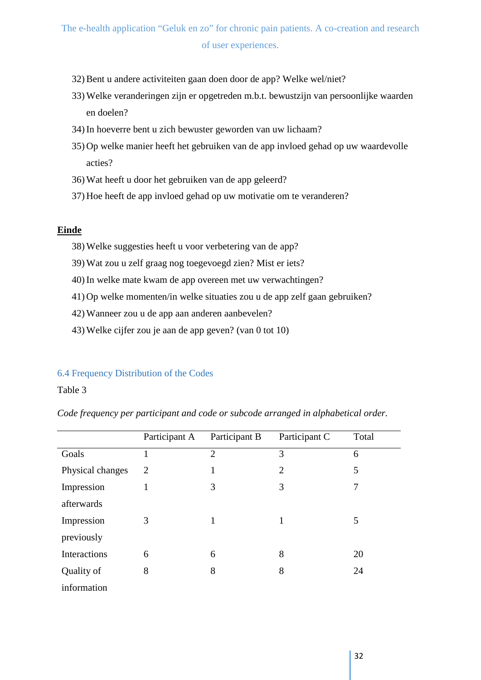- 32) Bent u andere activiteiten gaan doen door de app? Welke wel/niet?
- 33) Welke veranderingen zijn er opgetreden m.b.t. bewustzijn van persoonlijke waarden en doelen?
- 34) In hoeverre bent u zich bewuster geworden van uw lichaam?
- 35) Op welke manier heeft het gebruiken van de app invloed gehad op uw waardevolle acties?
- 36) Wat heeft u door het gebruiken van de app geleerd?
- 37) Hoe heeft de app invloed gehad op uw motivatie om te veranderen?

#### **Einde**

- 38) Welke suggesties heeft u voor verbetering van de app?
- 39) Wat zou u zelf graag nog toegevoegd zien? Mist er iets?
- 40) In welke mate kwam de app overeen met uw verwachtingen?
- 41) Op welke momenten/in welke situaties zou u de app zelf gaan gebruiken?
- 42) Wanneer zou u de app aan anderen aanbevelen?
- 43) Welke cijfer zou je aan de app geven? (van 0 tot 10)

#### <span id="page-31-0"></span>6.4 Frequency Distribution of the Codes

#### Table 3

*Code frequency per participant and code or subcode arranged in alphabetical order.*

|                  | Participant A | Participant B  | Participant C  | Total |
|------------------|---------------|----------------|----------------|-------|
| Goals            |               | $\overline{2}$ | 3              | 6     |
| Physical changes | 2             | 1              | $\overline{2}$ | 5     |
| Impression       |               | 3              | 3              | 7     |
| afterwards       |               |                |                |       |
| Impression       | 3             | 1              | 1              | 5     |
| previously       |               |                |                |       |
| Interactions     | 6             | 6              | 8              | 20    |
| Quality of       | 8             | 8              | 8              | 24    |
| information      |               |                |                |       |